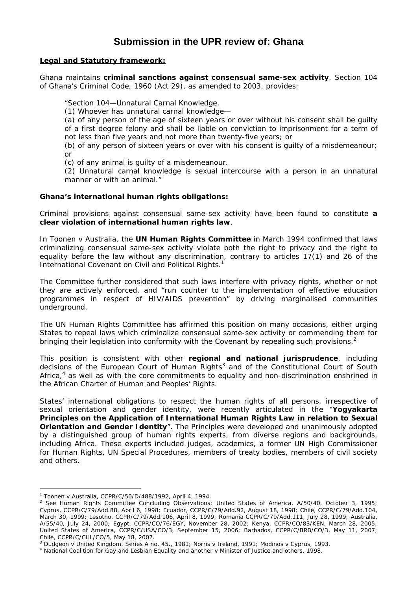# **Submission in the UPR review of: Ghana**

## **Legal and Statutory framework:**

Ghana maintains **criminal sanctions against consensual same-sex activity**. Section 104 of Ghana's *Criminal Code*, 1960 (Act 29), as amended to 2003, provides:

"Section 104—Unnatural Carnal Knowledge.

(1) Whoever has unnatural carnal knowledge—

(a) of any person of the age of sixteen years or over without his consent shall be guilty of a first degree felony and shall be liable on conviction to imprisonment for a term of not less than five years and not more than twenty-five years; or

(b) of any person of sixteen years or over with his consent is guilty of a misdemeanour; or

(c) of any animal is guilty of a misdemeanour.

(2) Unnatural carnal knowledge is sexual intercourse with a person in an unnatural manner or with an animal."

### **Ghana's international human rights obligations:**

Criminal provisions against consensual same-sex activity have been found to constitute **a clear violation of international human rights law**.

In *Toonen v Australia*, the **UN Human Rights Committee** in March 1994 confirmed that laws criminalizing consensual same-sex activity violate both the right to privacy and the right to equality before the law without any discrimination, contrary to articles 17(1) and 26 of the International Covenant on Civil and Political Rights.<sup>1</sup>

The Committee further considered that such laws interfere with privacy rights, whether or not they are actively enforced, and "run counter to the implementation of effective education programmes in respect of HIV/AIDS prevention" by driving marginalised communities underground.

The UN Human Rights Committee has affirmed this position on many occasions, either urging States to repeal laws which criminalize consensual same-sex activity or commending them for bringing their legislation into conformity with the Covenant by repealing such provisions.<sup>2</sup>

This position is consistent with other **regional and national jurisprudence**, including decisions of the European Court of Human Rights<sup>3</sup> and of the Constitutional Court of South Africa, $4$  as well as with the core commitments to equality and non-discrimination enshrined in the *African Charter of Human and Peoples' Rights*.

States' international obligations to respect the human rights of all persons, irrespective of sexual orientation and gender identity, were recently articulated in the "*Yogyakarta Principles on the Application of International Human Rights Law in relation to Sexual Orientation and Gender Identity*". The Principles were developed and unanimously adopted by a distinguished group of human rights experts, from diverse regions and backgrounds, including Africa. These experts included judges, academics, a former UN High Commissioner for Human Rights, UN Special Procedures, members of treaty bodies, members of civil society and others.

 $\overline{a}$ 

<sup>1</sup> *Toonen* v *Australia*, CCPR/C/50/D/488/1992, April 4, 1994. 2

<sup>&</sup>lt;sup>2</sup> See Human Rights Committee Concluding Observations: United States of America, A/50/40, October 3, 1995; Cyprus, CCPR/C/79/Add.88, April 6, 1998; Ecuador, CCPR/C/79/Add.92, August 18, 1998; Chile, CCPR/C/79/Add.104, March 30, 1999; Lesotho, CCPR/C/79/Add.106, April 8, 1999; Romania CCPR/C/79/Add.111, July 28, 1999; Australia, A/55/40, July 24, 2000; Egypt, CCPR/CO/76/EGY, November 28, 2002; Kenya, CCPR/CO/83/KEN, March 28, 2005; United States of America, CCPR/C/USA/CO/3, September 15, 2006; Barbados, CCPR/C/BRB/CO/3, May 11, 2007; Chile, CCPR/C/CHL/CO/5, May 18, 2007.

<sup>&</sup>lt;sup>3</sup> Dudgeon v United Kingdom, Series A no. 45., 1981; Norris v Ireland, 1991; Modinos v Cyprus, 1993.<br><sup>4</sup> National Coalition for Gay and Lesbian Equality and another v Minister of Justice and others, 1998.